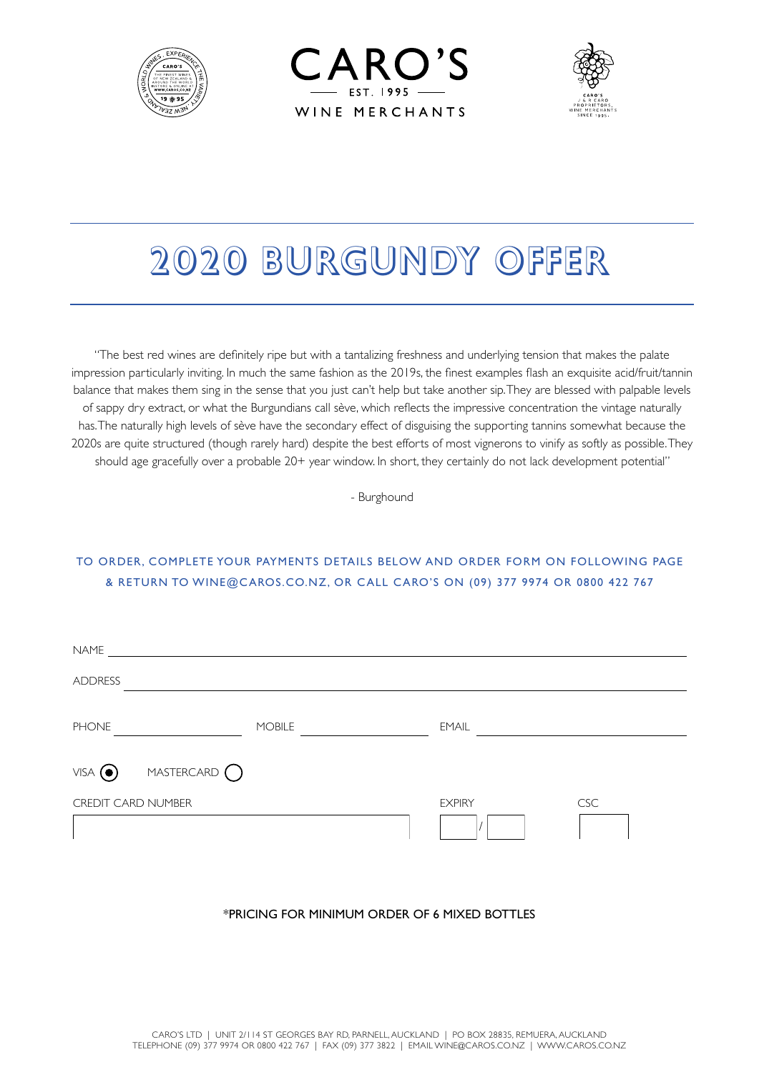





# 2020 BURGUNDY OFFER

"The best red wines are definitely ripe but with a tantalizing freshness and underlying tension that makes the palate impression particularly inviting. In much the same fashion as the 2019s, the finest examples flash an exquisite acid/fruit/tannin balance that makes them sing in the sense that you just can't help but take another sip. They are blessed with palpable levels of sappy dry extract, or what the Burgundians call sève, which reflects the impressive concentration the vintage naturally has. The naturally high levels of sève have the secondary effect of disguising the supporting tannins somewhat because the 2020s are quite structured (though rarely hard) despite the best efforts of most vignerons to vinify as softly as possible. They should age gracefully over a probable 20+ year window. In short, they certainly do not lack development potential"

- Burghound

# TO ORDER, COMPLETE YOUR PAYMENTS DETAILS BELOW AND ORDER FORM ON FOLLOWING PAGE & RETURN TO WINE@CAROS.CO.NZ, OR CALL CARO'S ON (09) 377 9974 OR 0800 422 767

| <b>NAME</b>                             |               |               |            |
|-----------------------------------------|---------------|---------------|------------|
| <b>ADDRESS</b>                          |               |               |            |
| <b>PHONE</b>                            | <b>MOBILE</b> | <b>EMAIL</b>  |            |
| MASTERCARD $\bigcirc$<br>$VISA$ $\odot$ |               |               |            |
| <b>CREDIT CARD NUMBER</b>               |               | <b>EXPIRY</b> | <b>CSC</b> |

# \*PRICING FOR MINIMUM ORDER OF 6 MIXED BOTTLES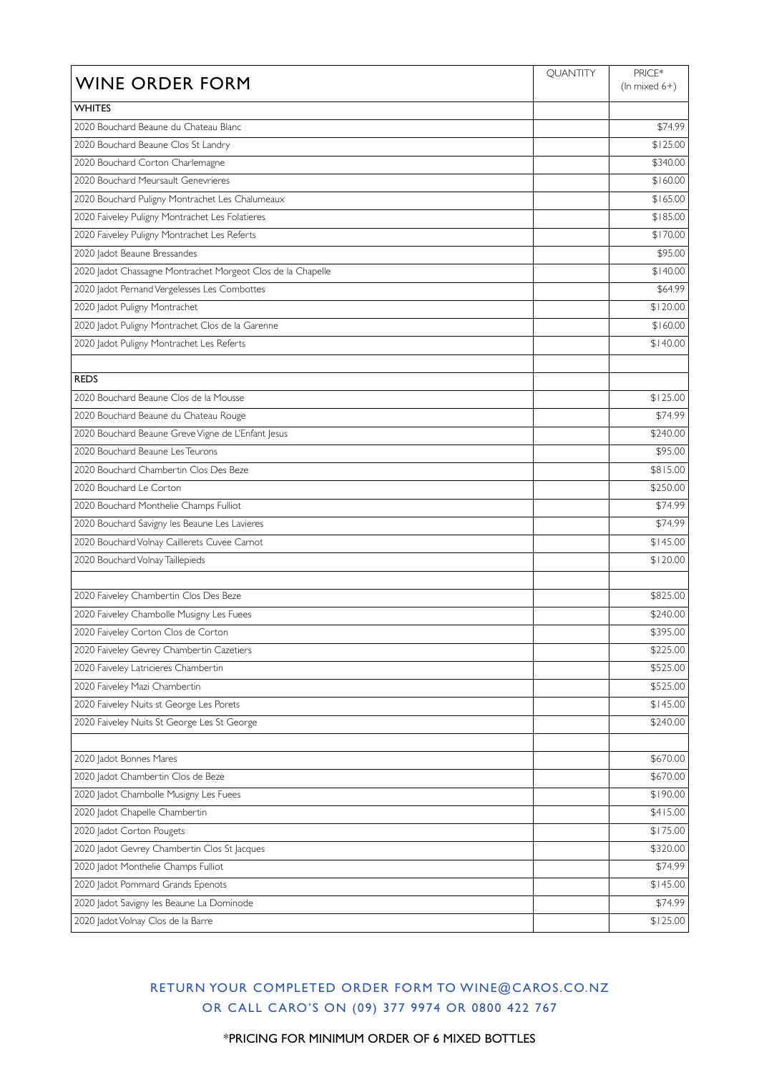| <b>WINE ORDER FORM</b>                                      | <b>QUANTITY</b> | PRICE*<br>(In mixed $6+$ ) |
|-------------------------------------------------------------|-----------------|----------------------------|
| <b>WHITES</b>                                               |                 |                            |
| 2020 Bouchard Beaune du Chateau Blanc                       |                 | \$74.99                    |
| 2020 Bouchard Beaune Clos St Landry                         |                 | \$125.00                   |
| 2020 Bouchard Corton Charlemagne                            |                 | \$340.00                   |
| 2020 Bouchard Meursault Genevrieres                         |                 | \$160.00                   |
| 2020 Bouchard Puligny Montrachet Les Chalumeaux             |                 | \$165.00                   |
| 2020 Faiveley Puligny Montrachet Les Folatieres             |                 | \$185.00                   |
| 2020 Faiveley Puligny Montrachet Les Referts                |                 | \$170.00                   |
| 2020 Jadot Beaune Bressandes                                |                 | \$95.00                    |
| 2020 Jadot Chassagne Montrachet Morgeot Clos de la Chapelle |                 | \$140.00                   |
| 2020 Jadot Pernand Vergelesses Les Combottes                |                 | \$64.99                    |
| 2020 Jadot Puligny Montrachet                               |                 | \$120.00                   |
| 2020 Jadot Puligny Montrachet Clos de la Garenne            |                 | \$160.00                   |
| 2020 Jadot Puligny Montrachet Les Referts                   |                 | \$140.00                   |
|                                                             |                 |                            |
| <b>REDS</b>                                                 |                 |                            |
| 2020 Bouchard Beaune Clos de la Mousse                      |                 | \$125.00                   |
| 2020 Bouchard Beaune du Chateau Rouge                       |                 | \$74.99                    |
| 2020 Bouchard Beaune Greve Vigne de L'Enfant Jesus          |                 | \$240.00                   |
| 2020 Bouchard Beaune Les Teurons                            |                 | \$95.00                    |
| 2020 Bouchard Chambertin Clos Des Beze                      |                 | \$815.00                   |
| 2020 Bouchard Le Corton                                     |                 | \$250.00                   |
| 2020 Bouchard Monthelie Champs Fulliot                      |                 | \$74.99                    |
| 2020 Bouchard Savigny les Beaune Les Lavieres               |                 | \$74.99                    |
| 2020 Bouchard Volnay Caillerets Cuvee Carnot                |                 | \$145.00                   |
| 2020 Bouchard Volnay Taillepieds                            |                 | \$120.00                   |
|                                                             |                 |                            |
| 2020 Faiveley Chambertin Clos Des Beze                      |                 | \$825.00                   |
| 2020 Faiveley Chambolle Musigny Les Fuees                   |                 | \$240.00                   |
| 2020 Faiveley Corton Clos de Corton                         |                 | \$395.00                   |
| 2020 Faiveley Gevrey Chambertin Cazetiers                   |                 | \$225.00                   |
| 2020 Faiveley Latricieres Chambertin                        |                 | \$525.00                   |
| 2020 Faiveley Mazi Chambertin                               |                 | \$525.00                   |
| 2020 Faiveley Nuits st George Les Porets                    |                 | \$145.00                   |
| 2020 Faiveley Nuits St George Les St George                 |                 | \$240.00                   |
|                                                             |                 |                            |
| 2020 Jadot Bonnes Mares                                     |                 | \$670.00                   |
| 2020 Jadot Chambertin Clos de Beze                          |                 | \$670.00                   |
| 2020 Jadot Chambolle Musigny Les Fuees                      |                 | \$190.00                   |
| 2020 Jadot Chapelle Chambertin                              |                 | \$415.00                   |
| 2020 Jadot Corton Pougets                                   |                 | \$175.00                   |
| 2020 Jadot Gevrey Chambertin Clos St Jacques                |                 | \$320.00                   |
| 2020 Jadot Monthelie Champs Fulliot                         |                 | \$74.99                    |
| 2020 Jadot Pommard Grands Epenots                           |                 | \$145.00                   |
| 2020 Jadot Savigny les Beaune La Dominode                   |                 | \$74.99                    |
| 2020 Jadot Volnay Clos de la Barre                          |                 | \$125.00                   |

# RETURN YOUR COMPLETED ORDER FORM TO WINE@CAROS.CO.NZ OR CALL CARO'S ON (09) 377 9974 OR 0800 422 767

\*PRICING FOR MINIMUM ORDER OF 6 MIXED BOTTLES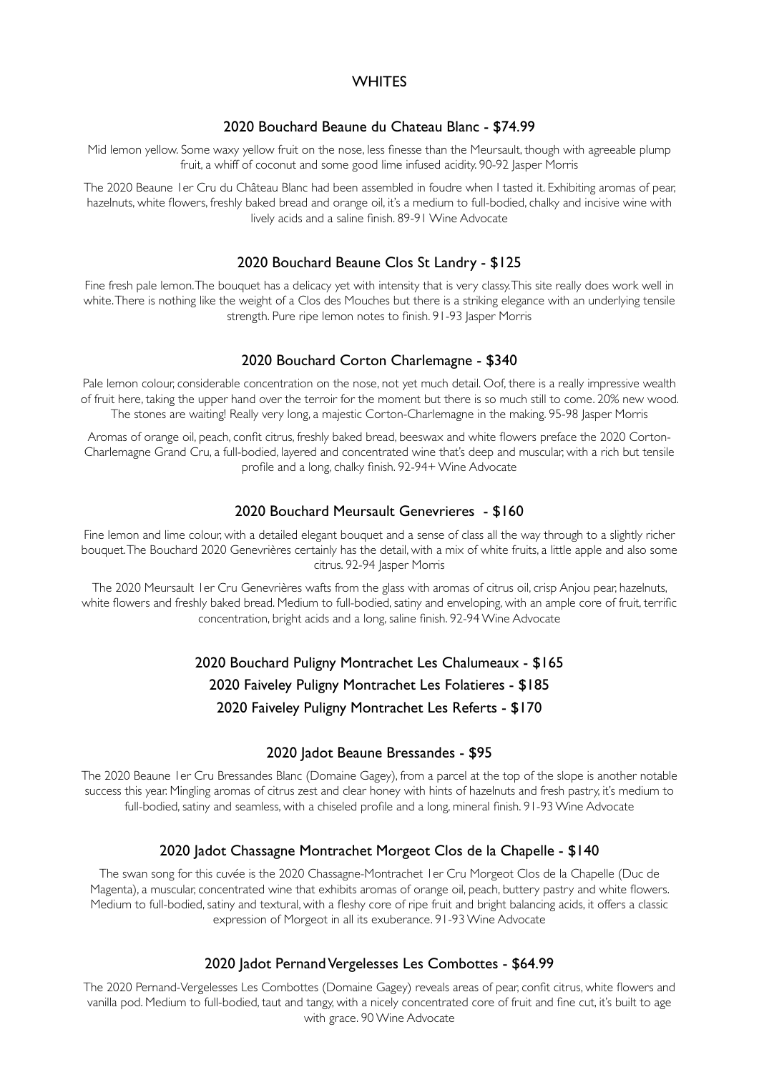# **WHITES**

# 2020 Bouchard Beaune du Chateau Blanc - \$74.99

Mid lemon yellow. Some waxy yellow fruit on the nose, less finesse than the Meursault, though with agreeable plump fruit, a whiff of coconut and some good lime infused acidity. 90-92 Jasper Morris

The 2020 Beaune 1er Cru du Château Blanc had been assembled in foudre when I tasted it. Exhibiting aromas of pear, hazelnuts, white flowers, freshly baked bread and orange oil, it's a medium to full-bodied, chalky and incisive wine with lively acids and a saline finish. 89-91 Wine Advocate

#### 2020 Bouchard Beaune Clos St Landry - \$125

Fine fresh pale lemon. The bouquet has a delicacy yet with intensity that is very classy. This site really does work well in white. There is nothing like the weight of a Clos des Mouches but there is a striking elegance with an underlying tensile strength. Pure ripe lemon notes to finish. 91-93 Jasper Morris

#### 2020 Bouchard Corton Charlemagne - \$340

Pale lemon colour, considerable concentration on the nose, not yet much detail. Oof, there is a really impressive wealth of fruit here, taking the upper hand over the terroir for the moment but there is so much still to come. 20% new wood. The stones are waiting! Really very long, a majestic Corton-Charlemagne in the making. 95-98 Jasper Morris

Aromas of orange oil, peach, confit citrus, freshly baked bread, beeswax and white flowers preface the 2020 Corton-Charlemagne Grand Cru, a full-bodied, layered and concentrated wine that's deep and muscular, with a rich but tensile profile and a long, chalky finish. 92-94+ Wine Advocate

#### 2020 Bouchard Meursault Genevrieres - \$160

Fine lemon and lime colour, with a detailed elegant bouquet and a sense of class all the way through to a slightly richer bouquet. The Bouchard 2020 Genevrières certainly has the detail, with a mix of white fruits, a little apple and also some citrus. 92-94 Jasper Morris

The 2020 Meursault 1er Cru Genevrières wafts from the glass with aromas of citrus oil, crisp Anjou pear, hazelnuts, white flowers and freshly baked bread. Medium to full-bodied, satiny and enveloping, with an ample core of fruit, terrific concentration, bright acids and a long, saline finish. 92-94 Wine Advocate

> 2020 Bouchard Puligny Montrachet Les Chalumeaux - \$165 2020 Faiveley Puligny Montrachet Les Folatieres - \$185 2020 Faiveley Puligny Montrachet Les Referts - \$170

# 2020 Jadot Beaune Bressandes - \$95

The 2020 Beaune 1er Cru Bressandes Blanc (Domaine Gagey), from a parcel at the top of the slope is another notable success this year. Mingling aromas of citrus zest and clear honey with hints of hazelnuts and fresh pastry, it's medium to full-bodied, satiny and seamless, with a chiseled profile and a long, mineral finish. 91-93 Wine Advocate

#### 2020 Jadot Chassagne Montrachet Morgeot Clos de la Chapelle - \$140

The swan song for this cuvée is the 2020 Chassagne-Montrachet 1er Cru Morgeot Clos de la Chapelle (Duc de Magenta), a muscular, concentrated wine that exhibits aromas of orange oil, peach, buttery pastry and white flowers. Medium to full-bodied, satiny and textural, with a fleshy core of ripe fruit and bright balancing acids, it offers a classic expression of Morgeot in all its exuberance. 91-93 Wine Advocate

#### 2020 Jadot Pernand Vergelesses Les Combottes - \$64.99

The 2020 Pernand-Vergelesses Les Combottes (Domaine Gagey) reveals areas of pear, confit citrus, white flowers and vanilla pod. Medium to full-bodied, taut and tangy, with a nicely concentrated core of fruit and fine cut, it's built to age with grace. 90 Wine Advocate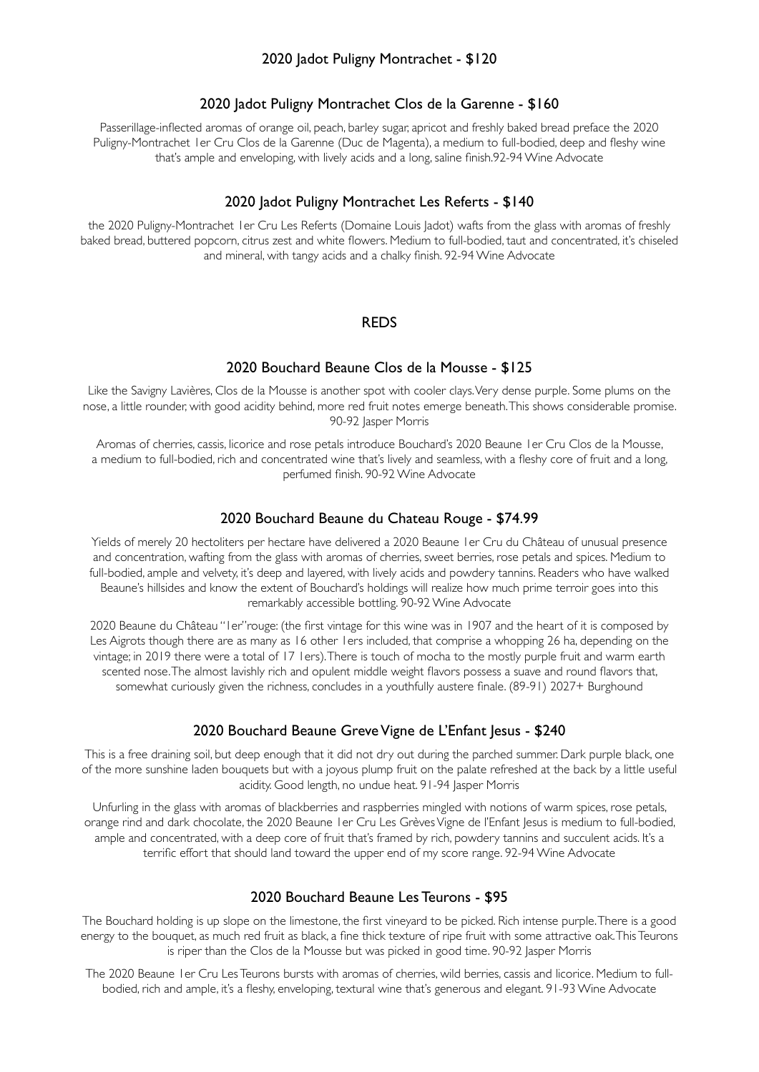# 2020 Jadot Puligny Montrachet - \$120

#### 2020 Jadot Puligny Montrachet Clos de la Garenne - \$160

Passerillage-inflected aromas of orange oil, peach, barley sugar, apricot and freshly baked bread preface the 2020 Puligny-Montrachet 1er Cru Clos de la Garenne (Duc de Magenta), a medium to full-bodied, deep and fleshy wine that's ample and enveloping, with lively acids and a long, saline finish.92-94 Wine Advocate

#### 2020 Jadot Puligny Montrachet Les Referts - \$140

the 2020 Puligny-Montrachet 1er Cru Les Referts (Domaine Louis Jadot) wafts from the glass with aromas of freshly baked bread, buttered popcorn, citrus zest and white flowers. Medium to full-bodied, taut and concentrated, it's chiseled and mineral, with tangy acids and a chalky finish. 92-94 Wine Advocate

#### REDS

#### 2020 Bouchard Beaune Clos de la Mousse - \$125

Like the Savigny Lavières, Clos de la Mousse is another spot with cooler clays. Very dense purple. Some plums on the nose, a little rounder, with good acidity behind, more red fruit notes emerge beneath. This shows considerable promise. 90-92 Jasper Morris

Aromas of cherries, cassis, licorice and rose petals introduce Bouchard's 2020 Beaune 1er Cru Clos de la Mousse, a medium to full-bodied, rich and concentrated wine that's lively and seamless, with a fleshy core of fruit and a long, perfumed finish. 90-92 Wine Advocate

#### 2020 Bouchard Beaune du Chateau Rouge - \$74.99

Yields of merely 20 hectoliters per hectare have delivered a 2020 Beaune 1er Cru du Château of unusual presence and concentration, wafting from the glass with aromas of cherries, sweet berries, rose petals and spices. Medium to full-bodied, ample and velvety, it's deep and layered, with lively acids and powdery tannins. Readers who have walked Beaune's hillsides and know the extent of Bouchard's holdings will realize how much prime terroir goes into this remarkably accessible bottling. 90-92 Wine Advocate

2020 Beaune du Château "1er"rouge: (the first vintage for this wine was in 1907 and the heart of it is composed by Les Aigrots though there are as many as 16 other 1ers included, that comprise a whopping 26 ha, depending on the vintage; in 2019 there were a total of 17 1ers). There is touch of mocha to the mostly purple fruit and warm earth scented nose. The almost lavishly rich and opulent middle weight flavors possess a suave and round flavors that, somewhat curiously given the richness, concludes in a youthfully austere finale. (89-91) 2027+ Burghound

#### 2020 Bouchard Beaune Greve Vigne de L'Enfant Jesus - \$240

This is a free draining soil, but deep enough that it did not dry out during the parched summer. Dark purple black, one of the more sunshine laden bouquets but with a joyous plump fruit on the palate refreshed at the back by a little useful acidity. Good length, no undue heat. 91-94 Jasper Morris

Unfurling in the glass with aromas of blackberries and raspberries mingled with notions of warm spices, rose petals, orange rind and dark chocolate, the 2020 Beaune 1er Cru Les Grèves Vigne de l'Enfant Jesus is medium to full-bodied, ample and concentrated, with a deep core of fruit that's framed by rich, powdery tannins and succulent acids. It's a terrific effort that should land toward the upper end of my score range. 92-94 Wine Advocate

#### 2020 Bouchard Beaune Les Teurons - \$95

The Bouchard holding is up slope on the limestone, the first vineyard to be picked. Rich intense purple. There is a good energy to the bouquet, as much red fruit as black, a fine thick texture of ripe fruit with some attractive oak. This Teurons is riper than the Clos de la Mousse but was picked in good time. 90-92 Jasper Morris

The 2020 Beaune 1er Cru Les Teurons bursts with aromas of cherries, wild berries, cassis and licorice. Medium to fullbodied, rich and ample, it's a fleshy, enveloping, textural wine that's generous and elegant. 91-93 Wine Advocate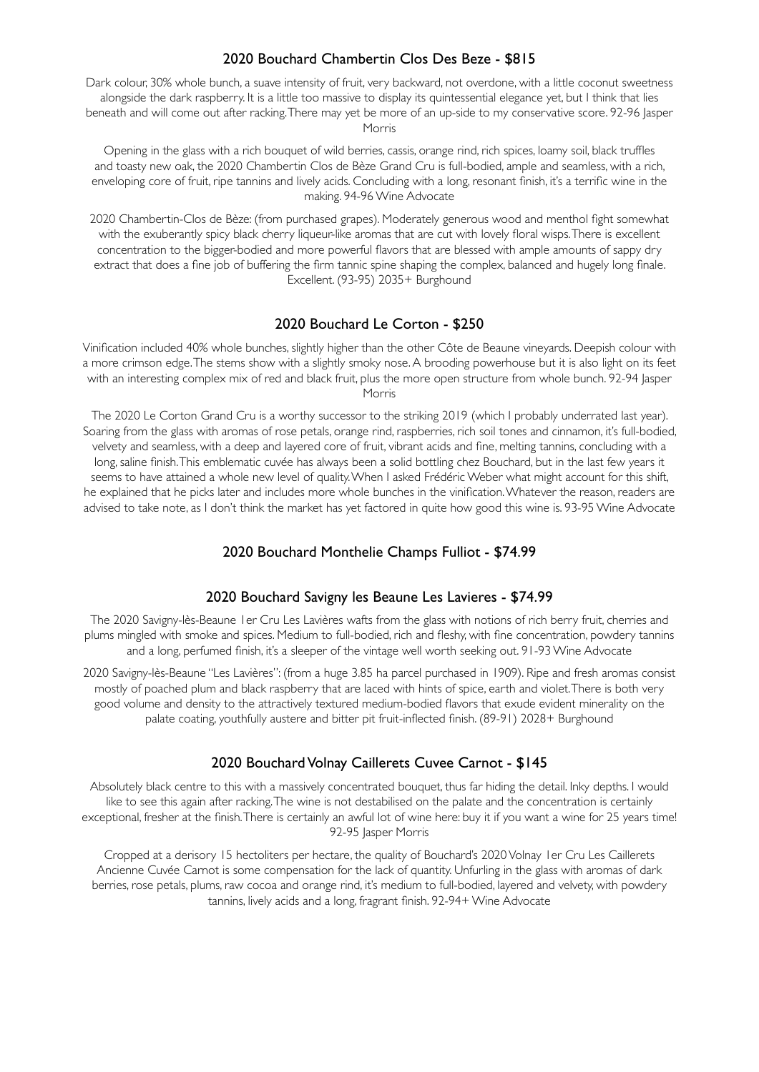# 2020 Bouchard Chambertin Clos Des Beze - \$815

Dark colour, 30% whole bunch, a suave intensity of fruit, very backward, not overdone, with a little coconut sweetness alongside the dark raspberry. It is a little too massive to display its quintessential elegance yet, but I think that lies beneath and will come out after racking. There may yet be more of an up-side to my conservative score. 92-96 Jasper Morris

Opening in the glass with a rich bouquet of wild berries, cassis, orange rind, rich spices, loamy soil, black truffles and toasty new oak, the 2020 Chambertin Clos de Bèze Grand Cru is full-bodied, ample and seamless, with a rich, enveloping core of fruit, ripe tannins and lively acids. Concluding with a long, resonant finish, it's a terrific wine in the making. 94-96 Wine Advocate

2020 Chambertin-Clos de Bèze: (from purchased grapes). Moderately generous wood and menthol fight somewhat with the exuberantly spicy black cherry liqueur-like aromas that are cut with lovely floral wisps. There is excellent concentration to the bigger-bodied and more powerful flavors that are blessed with ample amounts of sappy dry extract that does a fine job of buffering the firm tannic spine shaping the complex, balanced and hugely long finale. Excellent. (93-95) 2035+ Burghound

# 2020 Bouchard Le Corton - \$250

Vinification included 40% whole bunches, slightly higher than the other Côte de Beaune vineyards. Deepish colour with a more crimson edge. The stems show with a slightly smoky nose. A brooding powerhouse but it is also light on its feet with an interesting complex mix of red and black fruit, plus the more open structure from whole bunch. 92-94 Jasper Morris

The 2020 Le Corton Grand Cru is a worthy successor to the striking 2019 (which I probably underrated last year). Soaring from the glass with aromas of rose petals, orange rind, raspberries, rich soil tones and cinnamon, it's full-bodied, velvety and seamless, with a deep and layered core of fruit, vibrant acids and fine, melting tannins, concluding with a long, saline finish. This emblematic cuvée has always been a solid bottling chez Bouchard, but in the last few years it seems to have attained a whole new level of quality. When I asked Frédéric Weber what might account for this shift, he explained that he picks later and includes more whole bunches in the vinification. Whatever the reason, readers are advised to take note, as I don't think the market has yet factored in quite how good this wine is. 93-95 Wine Advocate

# 2020 Bouchard Monthelie Champs Fulliot - \$74.99

#### 2020 Bouchard Savigny les Beaune Les Lavieres - \$74.99

The 2020 Savigny-lès-Beaune 1er Cru Les Lavières wafts from the glass with notions of rich berry fruit, cherries and plums mingled with smoke and spices. Medium to full-bodied, rich and fleshy, with fine concentration, powdery tannins and a long, perfumed finish, it's a sleeper of the vintage well worth seeking out. 91-93 Wine Advocate

2020 Savigny-lès-Beaune "Les Lavières": (from a huge 3.85 ha parcel purchased in 1909). Ripe and fresh aromas consist mostly of poached plum and black raspberry that are laced with hints of spice, earth and violet. There is both very good volume and density to the attractively textured medium-bodied flavors that exude evident minerality on the palate coating, youthfully austere and bitter pit fruit-inflected finish. (89-91) 2028+ Burghound

#### 2020 Bouchard Volnay Caillerets Cuvee Carnot - \$145

Absolutely black centre to this with a massively concentrated bouquet, thus far hiding the detail. Inky depths. I would like to see this again after racking. The wine is not destabilised on the palate and the concentration is certainly exceptional, fresher at the finish. There is certainly an awful lot of wine here: buy it if you want a wine for 25 years time! 92-95 Iasper Morris

Cropped at a derisory 15 hectoliters per hectare, the quality of Bouchard's 2020 Volnay 1er Cru Les Caillerets Ancienne Cuvée Carnot is some compensation for the lack of quantity. Unfurling in the glass with aromas of dark berries, rose petals, plums, raw cocoa and orange rind, it's medium to full-bodied, layered and velvety, with powdery tannins, lively acids and a long, fragrant finish. 92-94+ Wine Advocate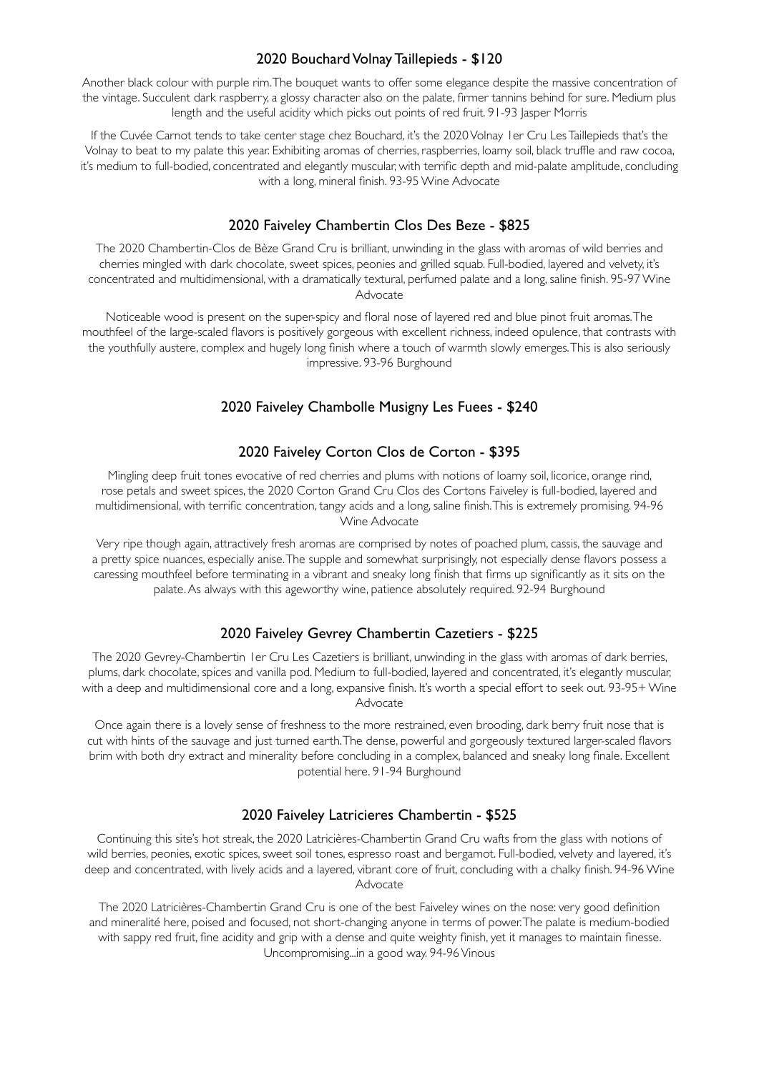# 2020 Bouchard Volnay Taillepieds - \$120

Another black colour with purple rim. The bouquet wants to offer some elegance despite the massive concentration of the vintage. Succulent dark raspberry, a glossy character also on the palate, firmer tannins behind for sure. Medium plus length and the useful acidity which picks out points of red fruit. 91-93 Jasper Morris

If the Cuvée Carnot tends to take center stage chez Bouchard, it's the 2020 Volnay 1er Cru Les Taillepieds that's the Volnay to beat to my palate this year. Exhibiting aromas of cherries, raspberries, loamy soil, black truffle and raw cocoa, it's medium to full-bodied, concentrated and elegantly muscular, with terrific depth and mid-palate amplitude, concluding with a long, mineral finish. 93-95 Wine Advocate

#### 2020 Faiveley Chambertin Clos Des Beze - \$825

The 2020 Chambertin-Clos de Bèze Grand Cru is brilliant, unwinding in the glass with aromas of wild berries and cherries mingled with dark chocolate, sweet spices, peonies and grilled squab. Full-bodied, layered and velvety, it's concentrated and multidimensional, with a dramatically textural, perfumed palate and a long, saline finish. 95-97 Wine Advocate

Noticeable wood is present on the super-spicy and floral nose of layered red and blue pinot fruit aromas. The mouthfeel of the large-scaled flavors is positively gorgeous with excellent richness, indeed opulence, that contrasts with the youthfully austere, complex and hugely long finish where a touch of warmth slowly emerges. This is also seriously impressive. 93-96 Burghound

#### 2020 Faiveley Chambolle Musigny Les Fuees - \$240

#### 2020 Faiveley Corton Clos de Corton - \$395

Mingling deep fruit tones evocative of red cherries and plums with notions of loamy soil, licorice, orange rind, rose petals and sweet spices, the 2020 Corton Grand Cru Clos des Cortons Faiveley is full-bodied, layered and multidimensional, with terrific concentration, tangy acids and a long, saline finish. This is extremely promising. 94-96 Wine Advocate

Very ripe though again, attractively fresh aromas are comprised by notes of poached plum, cassis, the sauvage and a pretty spice nuances, especially anise. The supple and somewhat surprisingly, not especially dense flavors possess a caressing mouthfeel before terminating in a vibrant and sneaky long finish that firms up significantly as it sits on the palate. As always with this ageworthy wine, patience absolutely required. 92-94 Burghound

#### 2020 Faiveley Gevrey Chambertin Cazetiers - \$225

The 2020 Gevrey-Chambertin 1er Cru Les Cazetiers is brilliant, unwinding in the glass with aromas of dark berries, plums, dark chocolate, spices and vanilla pod. Medium to full-bodied, layered and concentrated, it's elegantly muscular, with a deep and multidimensional core and a long, expansive finish. It's worth a special effort to seek out. 93-95+ Wine Advocate

Once again there is a lovely sense of freshness to the more restrained, even brooding, dark berry fruit nose that is cut with hints of the sauvage and just turned earth. The dense, powerful and gorgeously textured larger-scaled flavors brim with both dry extract and minerality before concluding in a complex, balanced and sneaky long finale. Excellent potential here. 91-94 Burghound

#### 2020 Faiveley Latricieres Chambertin - \$525

Continuing this site's hot streak, the 2020 Latricières-Chambertin Grand Cru wafts from the glass with notions of wild berries, peonies, exotic spices, sweet soil tones, espresso roast and bergamot. Full-bodied, velvety and layered, it's deep and concentrated, with lively acids and a layered, vibrant core of fruit, concluding with a chalky finish. 94-96 Wine Advocate

The 2020 Latricières-Chambertin Grand Cru is one of the best Faiveley wines on the nose: very good definition and mineralité here, poised and focused, not short-changing anyone in terms of power. The palate is medium-bodied with sappy red fruit, fine acidity and grip with a dense and quite weighty finish, yet it manages to maintain finesse. Uncompromising...in a good way. 94-96 Vinous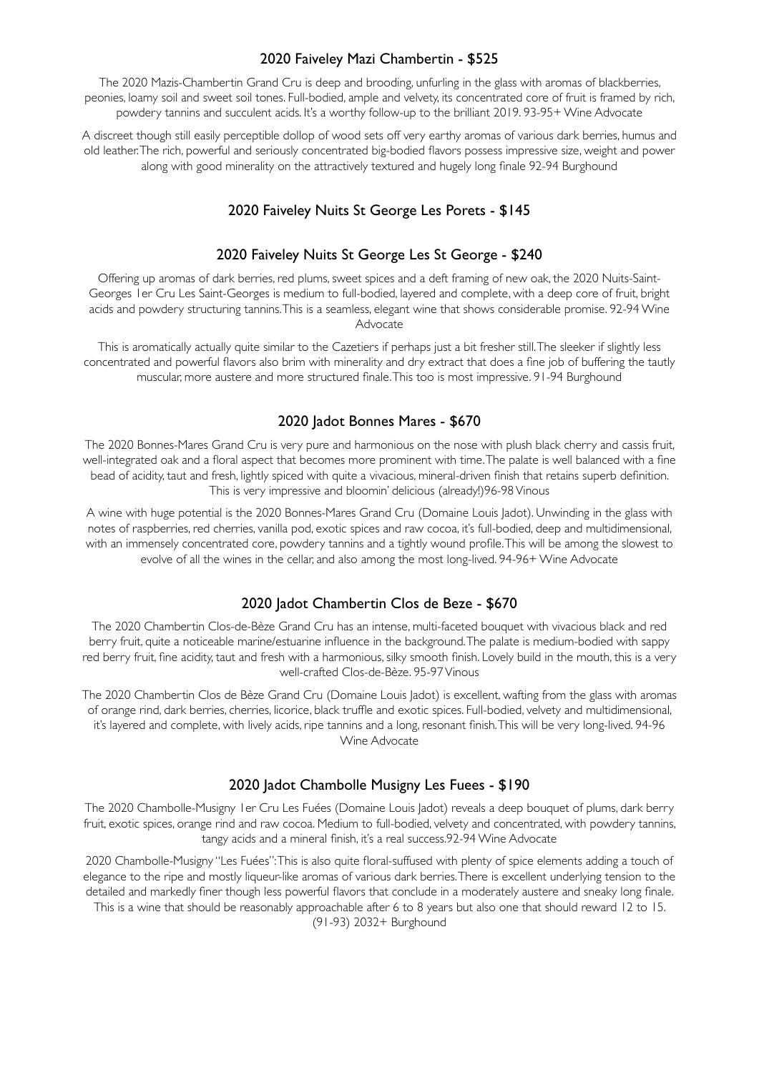# 2020 Faiveley Mazi Chambertin - \$525

The 2020 Mazis-Chambertin Grand Cru is deep and brooding, unfurling in the glass with aromas of blackberries, peonies, loamy soil and sweet soil tones. Full-bodied, ample and velvety, its concentrated core of fruit is framed by rich, powdery tannins and succulent acids. It's a worthy follow-up to the brilliant 2019. 93-95+ Wine Advocate

A discreet though still easily perceptible dollop of wood sets off very earthy aromas of various dark berries, humus and old leather. The rich, powerful and seriously concentrated big-bodied flavors possess impressive size, weight and power along with good minerality on the attractively textured and hugely long finale 92-94 Burghound

# 2020 Faiveley Nuits St George Les Porets - \$145

# 2020 Faiveley Nuits St George Les St George - \$240

Offering up aromas of dark berries, red plums, sweet spices and a deft framing of new oak, the 2020 Nuits-Saint-Georges 1er Cru Les Saint-Georges is medium to full-bodied, layered and complete, with a deep core of fruit, bright acids and powdery structuring tannins. This is a seamless, elegant wine that shows considerable promise. 92-94 Wine Advocate

This is aromatically actually quite similar to the Cazetiers if perhaps just a bit fresher still. The sleeker if slightly less concentrated and powerful flavors also brim with minerality and dry extract that does a fine job of buffering the tautly muscular, more austere and more structured finale. This too is most impressive. 91-94 Burghound

# 2020 Jadot Bonnes Mares - \$670

The 2020 Bonnes-Mares Grand Cru is very pure and harmonious on the nose with plush black cherry and cassis fruit, well-integrated oak and a floral aspect that becomes more prominent with time. The palate is well balanced with a fine bead of acidity, taut and fresh, lightly spiced with quite a vivacious, mineral-driven finish that retains superb definition. This is very impressive and bloomin' delicious (already!)96-98 Vinous

A wine with huge potential is the 2020 Bonnes-Mares Grand Cru (Domaine Louis Jadot). Unwinding in the glass with notes of raspberries, red cherries, vanilla pod, exotic spices and raw cocoa, it's full-bodied, deep and multidimensional, with an immensely concentrated core, powdery tannins and a tightly wound profile. This will be among the slowest to evolve of all the wines in the cellar, and also among the most long-lived. 94-96+ Wine Advocate

#### 2020 Jadot Chambertin Clos de Beze - \$670

The 2020 Chambertin Clos-de-Bèze Grand Cru has an intense, multi-faceted bouquet with vivacious black and red berry fruit, quite a noticeable marine/estuarine influence in the background. The palate is medium-bodied with sappy red berry fruit, fine acidity, taut and fresh with a harmonious, silky smooth finish. Lovely build in the mouth, this is a very well-crafted Clos-de-Bèze. 95-97 Vinous

The 2020 Chambertin Clos de Bèze Grand Cru (Domaine Louis Jadot) is excellent, wafting from the glass with aromas of orange rind, dark berries, cherries, licorice, black truffle and exotic spices. Full-bodied, velvety and multidimensional, it's layered and complete, with lively acids, ripe tannins and a long, resonant finish. This will be very long-lived. 94-96 Wine Advocate

#### 2020 Jadot Chambolle Musigny Les Fuees - \$190

The 2020 Chambolle-Musigny 1er Cru Les Fuées (Domaine Louis Jadot) reveals a deep bouquet of plums, dark berry fruit, exotic spices, orange rind and raw cocoa. Medium to full-bodied, velvety and concentrated, with powdery tannins, tangy acids and a mineral finish, it's a real success.92-94 Wine Advocate

2020 Chambolle-Musigny "Les Fuées": This is also quite floral-suffused with plenty of spice elements adding a touch of elegance to the ripe and mostly liqueur-like aromas of various dark berries. There is excellent underlying tension to the detailed and markedly finer though less powerful flavors that conclude in a moderately austere and sneaky long finale. This is a wine that should be reasonably approachable after 6 to 8 years but also one that should reward 12 to 15.

(91-93) 2032+ Burghound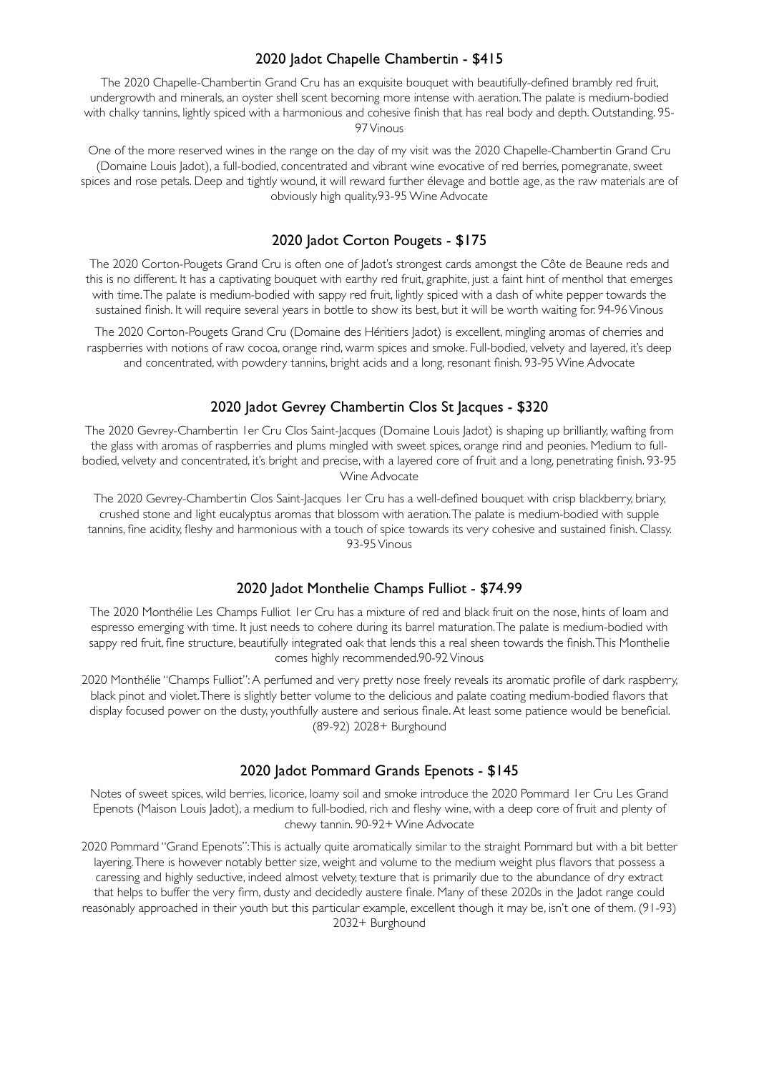# 2020 Jadot Chapelle Chambertin - \$415

The 2020 Chapelle-Chambertin Grand Cru has an exquisite bouquet with beautifully-defined brambly red fruit, undergrowth and minerals, an oyster shell scent becoming more intense with aeration. The palate is medium-bodied with chalky tannins, lightly spiced with a harmonious and cohesive finish that has real body and depth. Outstanding. 95- 97 Vinous

One of the more reserved wines in the range on the day of my visit was the 2020 Chapelle-Chambertin Grand Cru (Domaine Louis Jadot), a full-bodied, concentrated and vibrant wine evocative of red berries, pomegranate, sweet spices and rose petals. Deep and tightly wound, it will reward further élevage and bottle age, as the raw materials are of obviously high quality.93-95 Wine Advocate

# 2020 Jadot Corton Pougets - \$175

The 2020 Corton-Pougets Grand Cru is often one of Jadot's strongest cards amongst the Côte de Beaune reds and this is no different. It has a captivating bouquet with earthy red fruit, graphite, just a faint hint of menthol that emerges with time. The palate is medium-bodied with sappy red fruit, lightly spiced with a dash of white pepper towards the sustained finish. It will require several years in bottle to show its best, but it will be worth waiting for. 94-96 Vinous

The 2020 Corton-Pougets Grand Cru (Domaine des Héritiers Jadot) is excellent, mingling aromas of cherries and raspberries with notions of raw cocoa, orange rind, warm spices and smoke. Full-bodied, velvety and layered, it's deep and concentrated, with powdery tannins, bright acids and a long, resonant finish. 93-95 Wine Advocate

# 2020 Jadot Gevrey Chambertin Clos St Jacques - \$320

The 2020 Gevrey-Chambertin 1er Cru Clos Saint-Jacques (Domaine Louis Jadot) is shaping up brilliantly, wafting from the glass with aromas of raspberries and plums mingled with sweet spices, orange rind and peonies. Medium to fullbodied, velvety and concentrated, it's bright and precise, with a layered core of fruit and a long, penetrating finish. 93-95 Wine Advocate

The 2020 Gevrey-Chambertin Clos Saint-Jacques 1er Cru has a well-defined bouquet with crisp blackberry, briary, crushed stone and light eucalyptus aromas that blossom with aeration. The palate is medium-bodied with supple tannins, fine acidity, fleshy and harmonious with a touch of spice towards its very cohesive and sustained finish. Classy. 93-95 Vinous

#### 2020 Jadot Monthelie Champs Fulliot - \$74.99

The 2020 Monthélie Les Champs Fulliot 1er Cru has a mixture of red and black fruit on the nose, hints of loam and espresso emerging with time. It just needs to cohere during its barrel maturation. The palate is medium-bodied with sappy red fruit, fine structure, beautifully integrated oak that lends this a real sheen towards the finish. This Monthelie comes highly recommended.90-92 Vinous

2020 Monthélie "Champs Fulliot": A perfumed and very pretty nose freely reveals its aromatic profile of dark raspberry, black pinot and violet. There is slightly better volume to the delicious and palate coating medium-bodied flavors that display focused power on the dusty, youthfully austere and serious finale. At least some patience would be beneficial. (89-92) 2028+ Burghound

#### 2020 Jadot Pommard Grands Epenots - \$145

Notes of sweet spices, wild berries, licorice, loamy soil and smoke introduce the 2020 Pommard 1er Cru Les Grand Epenots (Maison Louis Jadot), a medium to full-bodied, rich and fleshy wine, with a deep core of fruit and plenty of chewy tannin. 90-92+ Wine Advocate

2020 Pommard "Grand Epenots": This is actually quite aromatically similar to the straight Pommard but with a bit better layering. There is however notably better size, weight and volume to the medium weight plus flavors that possess a caressing and highly seductive, indeed almost velvety, texture that is primarily due to the abundance of dry extract that helps to buffer the very firm, dusty and decidedly austere finale. Many of these 2020s in the Jadot range could reasonably approached in their youth but this particular example, excellent though it may be, isn't one of them. (91-93) 2032+ Burghound